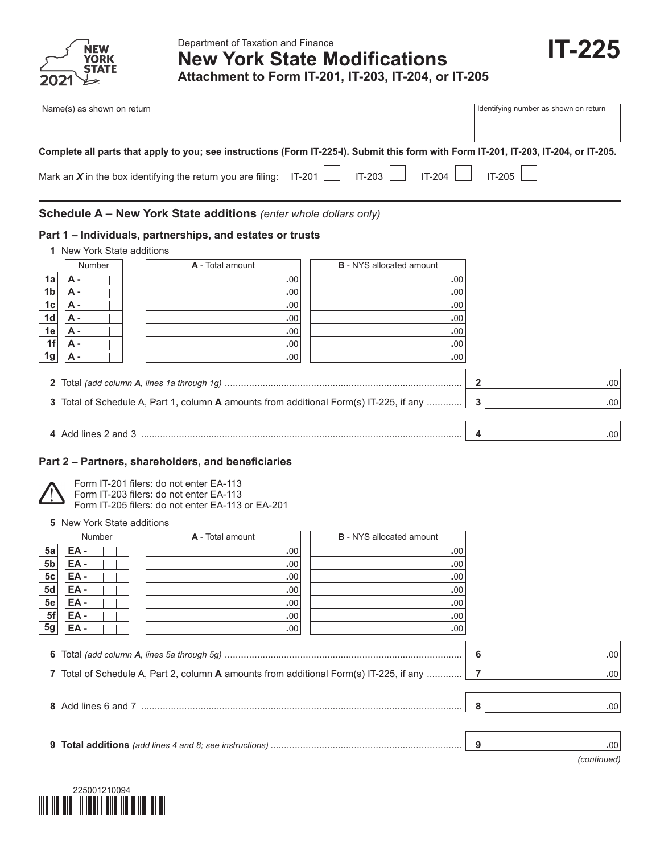

|                | Name(s) as shown on return |                                                                                                                                                                                                                  |                                 | Identifying number as shown on return |
|----------------|----------------------------|------------------------------------------------------------------------------------------------------------------------------------------------------------------------------------------------------------------|---------------------------------|---------------------------------------|
|                |                            | Complete all parts that apply to you; see instructions (Form IT-225-I). Submit this form with Form IT-201, IT-203, IT-204, or IT-205.<br>Mark an $X$ in the box identifying the return you are filing:<br>IT-201 | IT-203<br>IT-204                | IT-205                                |
|                |                            | <b>Schedule A – New York State additions</b> (enter whole dollars only)                                                                                                                                          |                                 |                                       |
|                | 1 New York State additions | Part 1 - Individuals, partnerships, and estates or trusts                                                                                                                                                        |                                 |                                       |
|                | Number                     | A - Total amount                                                                                                                                                                                                 | <b>B</b> - NYS allocated amount |                                       |
| 1a             | А -                        | .00                                                                                                                                                                                                              | .00                             |                                       |
| 1 <sub>b</sub> | <b>A</b> -                 | .00                                                                                                                                                                                                              | .00                             |                                       |
| 1 <sub>c</sub> | <b>A</b> -                 | .00                                                                                                                                                                                                              | .00                             |                                       |
| 1 <sub>d</sub> | А -                        | .00                                                                                                                                                                                                              | .00                             |                                       |
| 1e             | A -                        | .00                                                                                                                                                                                                              | .00                             |                                       |
| 1f             | A -                        | .00                                                                                                                                                                                                              | .00                             |                                       |
| 1 <sub>g</sub> | А -                        | .00                                                                                                                                                                                                              | .00                             |                                       |
|                |                            |                                                                                                                                                                                                                  |                                 | $\mathbf{2}$<br>.00                   |
|                |                            | 3 Total of Schedule A, Part 1, column A amounts from additional Form(s) IT-225, if any                                                                                                                           |                                 | 3<br>.00                              |
|                |                            |                                                                                                                                                                                                                  |                                 | 4<br>.00                              |

## **Part 2 – Partners, shareholders, and beneficiaries**



Form IT-201 filers: do not enter EA-113 Form IT-203 filers: do not enter EA-113

Form IT-205 filers: do not enter EA-113 or EA-201

**5** New York State additions

|                | Number | A - Total amount | <b>B</b> - NYS allocated amount |  |
|----------------|--------|------------------|---------------------------------|--|
| 5a             | $EA -$ | .00              | .00.                            |  |
| 5 <sub>b</sub> | EA -   | .00              | .00.                            |  |
| 5 <sub>c</sub> | EA -   | .00              | .00                             |  |
| 5d             | EA -   | .00              | .00                             |  |
| 5e             | EA -   | .00              | .00                             |  |
| 5f             | EA -   | .00              | .00                             |  |
| 5g             | EA -   | .00              | .00                             |  |
|                |        |                  |                                 |  |

|                                                                                           | .00                              |
|-------------------------------------------------------------------------------------------|----------------------------------|
| 7 Total of Schedule A, Part 2, column A amounts from additional Form(s) IT-225, if any  7 | .00 <sub>1</sub>                 |
|                                                                                           |                                  |
|                                                                                           | .00 <sub>1</sub>                 |
|                                                                                           |                                  |
|                                                                                           | .00.                             |
|                                                                                           | $\epsilon$ $\epsilon$ $\epsilon$ |



*(continued)*

**IT-225**